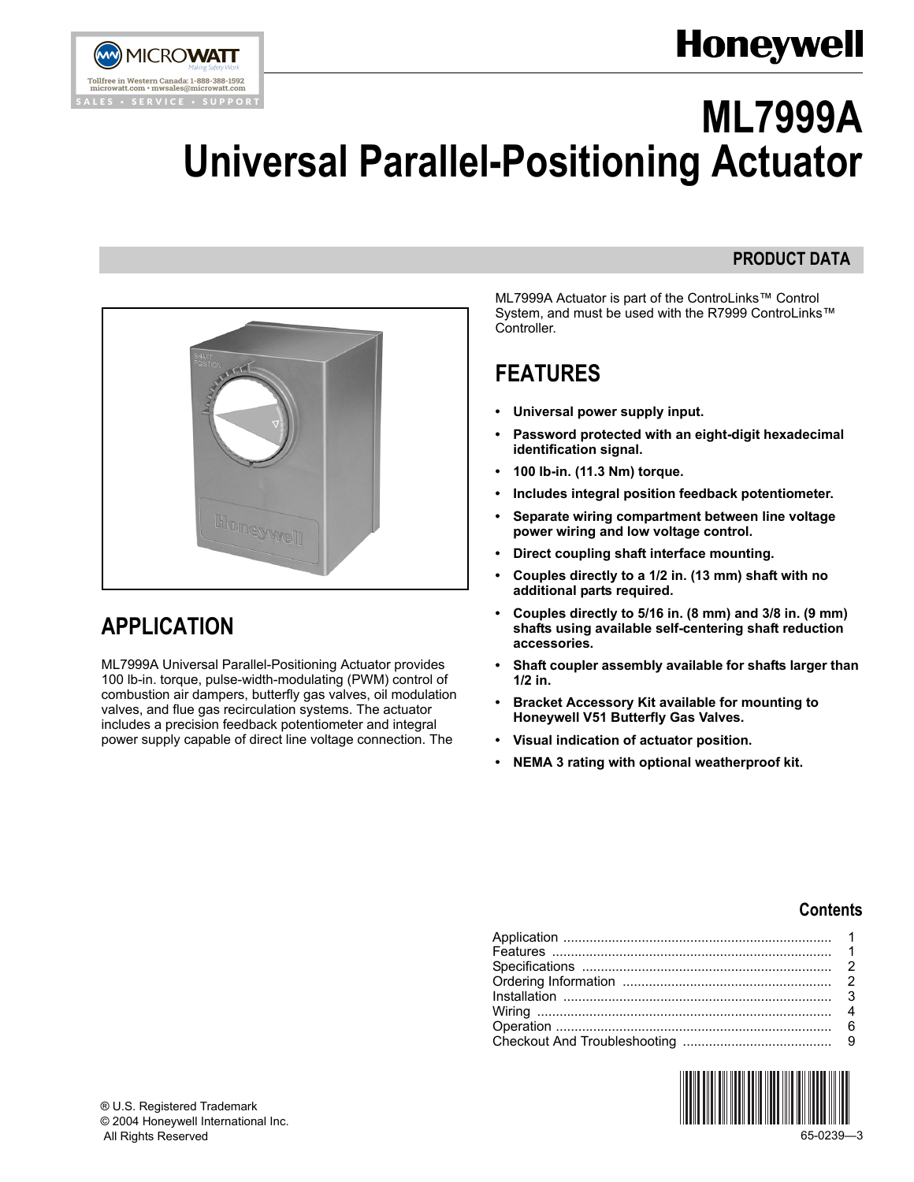



# **ML7999A Universal Parallel-Positioning Actuator**

## **PRODUCT DATA**



## <span id="page-0-0"></span>**APPLICATION**

ML7999A Universal Parallel-Positioning Actuator provides 100 lb-in. torque, pulse-width-modulating (PWM) control of combustion air dampers, butterfly gas valves, oil modulation valves, and flue gas recirculation systems. The actuator includes a precision feedback potentiometer and integral power supply capable of direct line voltage connection. The

ML7999A Actuator is part of the ControLinks™ Control System, and must be used with the R7999 ControLinks™ Controller.

## <span id="page-0-1"></span>**FEATURES**

- **ï Universal power supply input.**
- **ï Password protected with an eight-digit hexadecimal identification signal.**
- **ï 100 lb-in. (11.3 Nm) torque.**
- **ï Includes integral position feedback potentiometer.**
- **ï Separate wiring compartment between line voltage power wiring and low voltage control.**
- **ï Direct coupling shaft interface mounting.**
- **ï Couples directly to a 1/2 in. (13 mm) shaft with no additional parts required.**
- **ï Couples directly to 5/16 in. (8 mm) and 3/8 in. (9 mm) shafts using available self-centering shaft reduction accessories.**
- **ï Shaft coupler assembly available for shafts larger than 1/2 in.**
- **ï Bracket Accessory Kit available for mounting to Honeywell V51 Butterfly Gas Valves.**
- **ï Visual indication of actuator position.**
- **ï NEMA 3 rating with optional weatherproof kit.**

### **Contents**

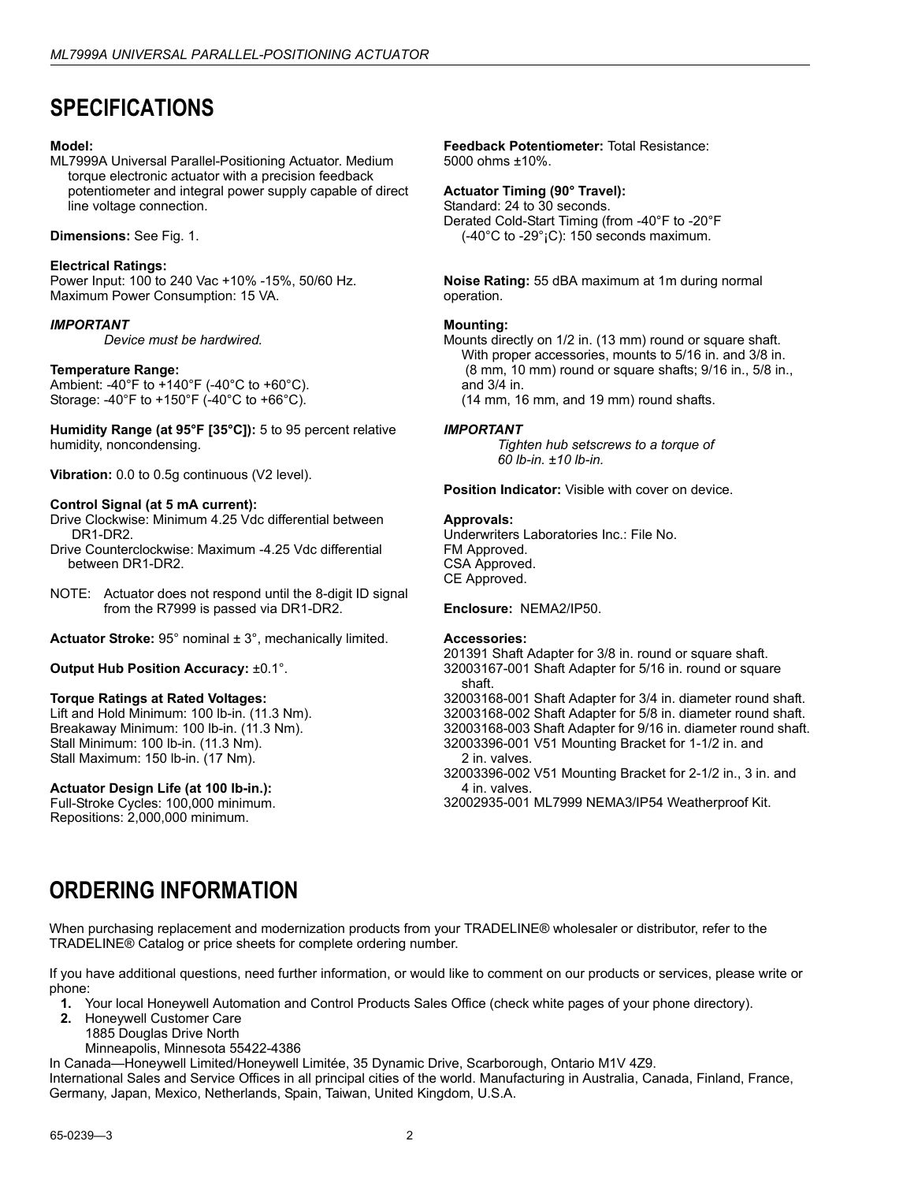## <span id="page-1-0"></span>**SPECIFICATIONS**

### **Model:**

ML7999A Universal Parallel-Positioning Actuator. Medium torque electronic actuator with a precision feedback potentiometer and integral power supply capable of direct line voltage connection.

### **Dimensions:** See Fig. 1.

### **Electrical Ratings:**

Power Input: 100 to 240 Vac +10% -15%, 50/60 Hz. Maximum Power Consumption: 15 VA.

### *IMPORTANT*

*Device must be hardwired.*

### **Temperature Range:**

Ambient: -40°F to +140°F (-40°C to +60°C). Storage: -40°F to +150°F (-40°C to +66°C).

**Humidity Range (at 95°F [35°C]):** 5 to 95 percent relative humidity, noncondensing.

**Vibration:** 0.0 to 0.5g continuous (V2 level).

### **Control Signal (at 5 mA current):**

Drive Clockwise: Minimum 4.25 Vdc differential between DR1-DR2.

- Drive Counterclockwise: Maximum -4.25 Vdc differential between DR1-DR2.
- NOTE: Actuator does not respond until the 8-digit ID signal from the R7999 is passed via DR1-DR2.
- **Actuator Stroke:** 95° nominal ± 3°, mechanically limited.

### **Output Hub Position Accuracy:** ±0.1°.

### **Torque Ratings at Rated Voltages:**

Lift and Hold Minimum: 100 lb-in. (11.3 Nm). Breakaway Minimum: 100 lb-in. (11.3 Nm). Stall Minimum: 100 lb-in. (11.3 Nm). Stall Maximum: 150 lb-in. (17 Nm).

### **Actuator Design Life (at 100 lb-in.):**

Full-Stroke Cycles: 100,000 minimum. Repositions: 2,000,000 minimum.

#### **Feedback Potentiometer:** Total Resistance: 5000 ohms ±10%.

### **Actuator Timing (90° Travel):**

Standard: 24 to 30 seconds. Derated Cold-Start Timing (from -40°F to -20°F  $(-40^{\circ}$ C to  $-29^{\circ}$  iC): 150 seconds maximum.

**Noise Rating:** 55 dBA maximum at 1m during normal operation.

#### **Mounting:**

Mounts directly on 1/2 in. (13 mm) round or square shaft. With proper accessories, mounts to 5/16 in. and 3/8 in. (8 mm, 10 mm) round or square shafts; 9/16 in., 5/8 in., and 3/4 in.

(14 mm, 16 mm, and 19 mm) round shafts.

### *IMPORTANT*

*Tighten hub setscrews to a torque of 60 lb-in. ±10 lb-in.*

**Position Indicator:** Visible with cover on device.

### **Approvals:**

Underwriters Laboratories Inc.: File No. FM Approved. CSA Approved. CE Approved.

**Enclosure:** NEMA2/IP50.

### **Accessories:**

201391 Shaft Adapter for 3/8 in. round or square shaft. 32003167-001 Shaft Adapter for 5/16 in. round or square shaft.

32003168-001 Shaft Adapter for 3/4 in. diameter round shaft. 32003168-002 Shaft Adapter for 5/8 in. diameter round shaft. 32003168-003 Shaft Adapter for 9/16 in. diameter round shaft. 32003396-001 V51 Mounting Bracket for 1-1/2 in. and 2 in. valves.

32003396-002 V51 Mounting Bracket for 2-1/2 in., 3 in. and 4 in. valves.

32002935-001 ML7999 NEMA3/IP54 Weatherproof Kit.

## **ORDERING INFORMATION**

When purchasing replacement and modernization products from your TRADELINE® wholesaler or distributor, refer to the TRADELINEÆ Catalog or price sheets for complete ordering number.

If you have additional questions, need further information, or would like to comment on our products or services, please write or phone:

- **1.** Your local Honeywell Automation and Control Products Sales Office (check white pages of your phone directory).
- **2.** Honeywell Customer Care
	- 1885 Douglas Drive North
	- Minneapolis, Minnesota 55422-4386

In Canada-Honeywell Limited/Honeywell Limitée, 35 Dynamic Drive, Scarborough, Ontario M1V 4Z9.

International Sales and Service Offices in all principal cities of the world. Manufacturing in Australia, Canada, Finland, France, Germany, Japan, Mexico, Netherlands, Spain, Taiwan, United Kingdom, U.S.A.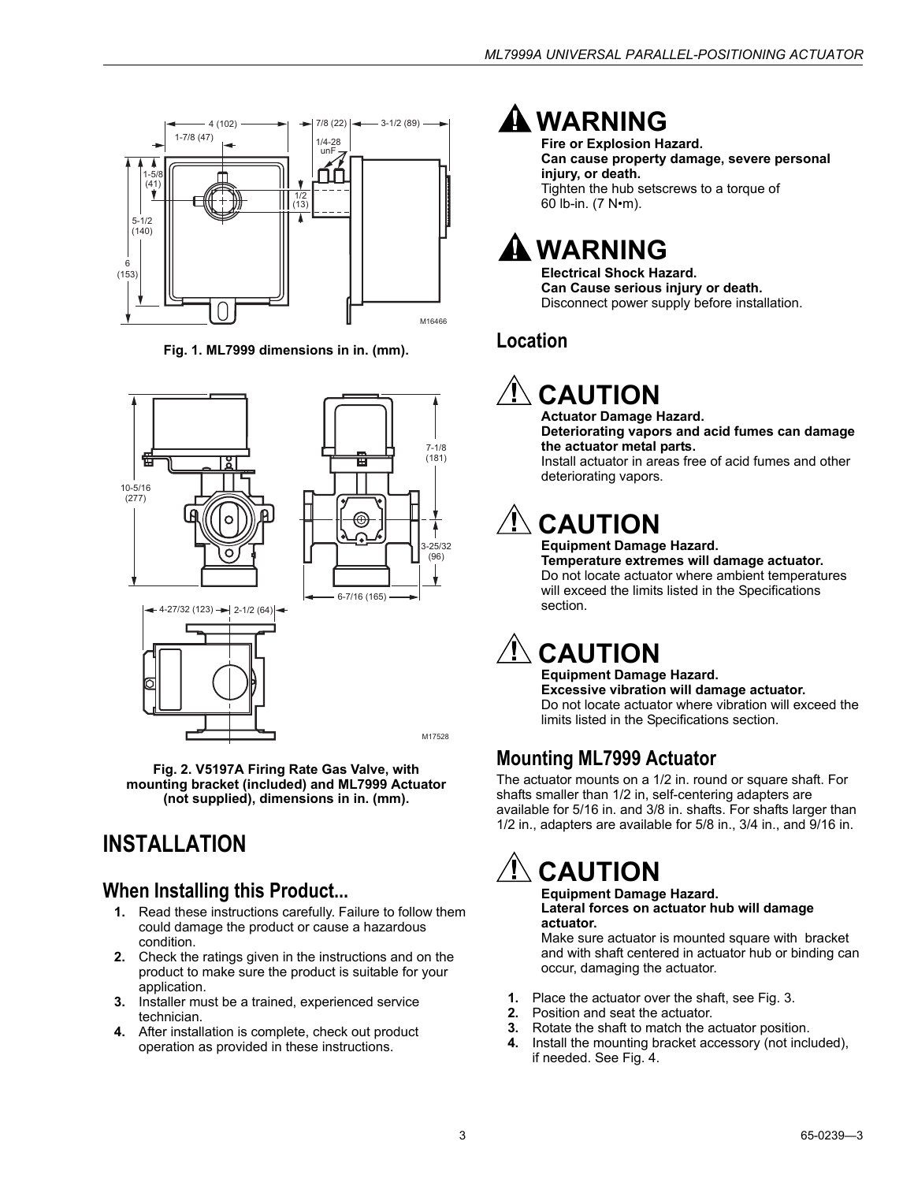

**Fig. 1. ML7999 dimensions in in. (mm).**







M17528

**Fig. 2. V5197A Firing Rate Gas Valve, with mounting bracket (included) and ML7999 Actuator (not supplied), dimensions in in. (mm).**

## <span id="page-2-0"></span>**INSTALLATION**

### **When Installing this Product...**

- **1.** Read these instructions carefully. Failure to follow them could damage the product or cause a hazardous condition.
- **2.** Check the ratings given in the instructions and on the product to make sure the product is suitable for your application.
- **3.** Installer must be a trained, experienced service technician.
- **4.** After installation is complete, check out product operation as provided in these instructions.

## **WARNING**

**Fire or Explosion Hazard. Can cause property damage, severe personal injury, or death.** Tighten the hub setscrews to a torque of 60 lb-in.  $(7 N<sup>o</sup>m)$ .

## **WARNING**

**Electrical Shock Hazard. Can Cause serious injury or death.**  Disconnect power supply before installation.

## **Location**

## **CAUTION**

**Actuator Damage Hazard. Deteriorating vapors and acid fumes can damage the actuator metal parts.** Install actuator in areas free of acid fumes and other

## **CAUTION**

deteriorating vapors.

### **Equipment Damage Hazard.**

**Temperature extremes will damage actuator.** Do not locate actuator where ambient temperatures will exceed the limits listed in the Specifications section.

## **CAUTION**

**Equipment Damage Hazard. Excessive vibration will damage actuator.** Do not locate actuator where vibration will exceed the limits listed in the Specifications section.

## **Mounting ML7999 Actuator**

The actuator mounts on a 1/2 in. round or square shaft. For shafts smaller than 1/2 in, self-centering adapters are available for 5/16 in. and 3/8 in. shafts. For shafts larger than 1/2 in., adapters are available for 5/8 in., 3/4 in., and 9/16 in.

## **CAUTION**

#### **Equipment Damage Hazard. Lateral forces on actuator hub will damage actuator.**

Make sure actuator is mounted square with bracket and with shaft centered in actuator hub or binding can occur, damaging the actuator.

- **1.** Place the actuator over the shaft, see Fig. 3.
- **2.** Position and seat the actuator.
- **3.** Rotate the shaft to match the actuator position.
- **4.** Install the mounting bracket accessory (not included), if needed. See Fig. 4.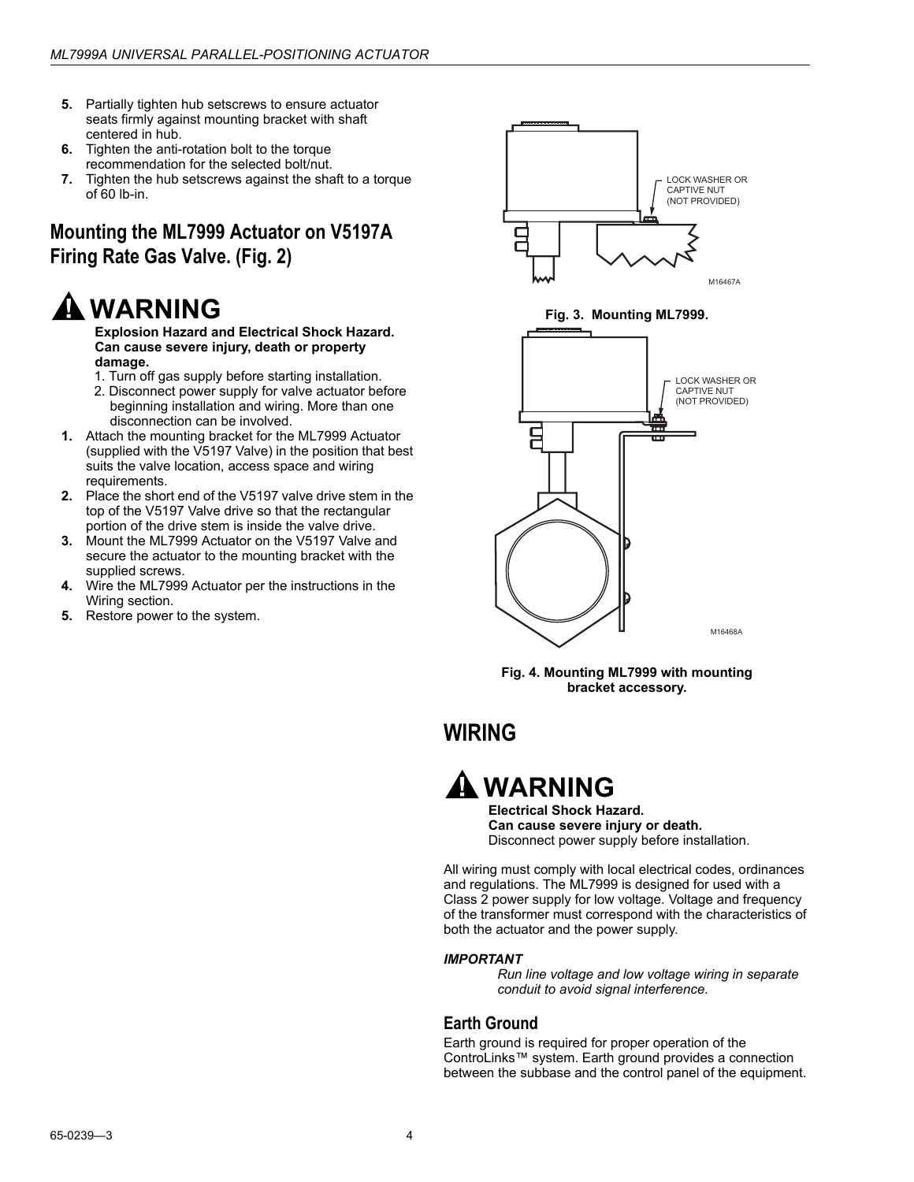- **5.** Partially tighten hub setscrews to ensure actuator seats firmly against mounting bracket with shaft centered in hub.
- **6.** Tighten the anti-rotation bolt to the torque recommendation for the selected bolt/nut.
- **7.** Tighten the hub setscrews against the shaft to a torque of 60 lb-in.

## **Mounting the ML7999 Actuator on V5197A Firing Rate Gas Valve. (Fig. 2)**

## **WARNING**

**Explosion Hazard and Electrical Shock Hazard. Can cause severe injury, death or property damage.**

- 1. Turn off gas supply before starting installation.
- 2. Disconnect power supply for valve actuator before beginning installation and wiring. More than one disconnection can be involved.
- **1.** Attach the mounting bracket for the ML7999 Actuator (supplied with the V5197 Valve) in the position that best suits the valve location, access space and wiring requirements.
- **2.** Place the short end of the V5197 valve drive stem in the top of the V5197 Valve drive so that the rectangular portion of the drive stem is inside the valve drive.
- **3.** Mount the ML7999 Actuator on the V5197 Valve and secure the actuator to the mounting bracket with the supplied screws.
- **4.** Wire the ML7999 Actuator per the instructions in the Wiring section.
- **5.** Restore power to the system.





## <span id="page-3-0"></span>**WIRING**



**Electrical Shock Hazard. Can cause severe injury or death.** Disconnect power supply before installation.

All wiring must comply with local electrical codes, ordinances and regulations. The ML7999 is designed for used with a Class 2 power supply for low voltage. Voltage and frequency of the transformer must correspond with the characteristics of both the actuator and the power supply.

### *IMPORTANT*

*Run line voltage and low voltage wiring in separate conduit to avoid signal interference.*

### **Earth Ground**

Earth ground is required for proper operation of the ControLinks™ system. Earth ground provides a connection between the subbase and the control panel of the equipment.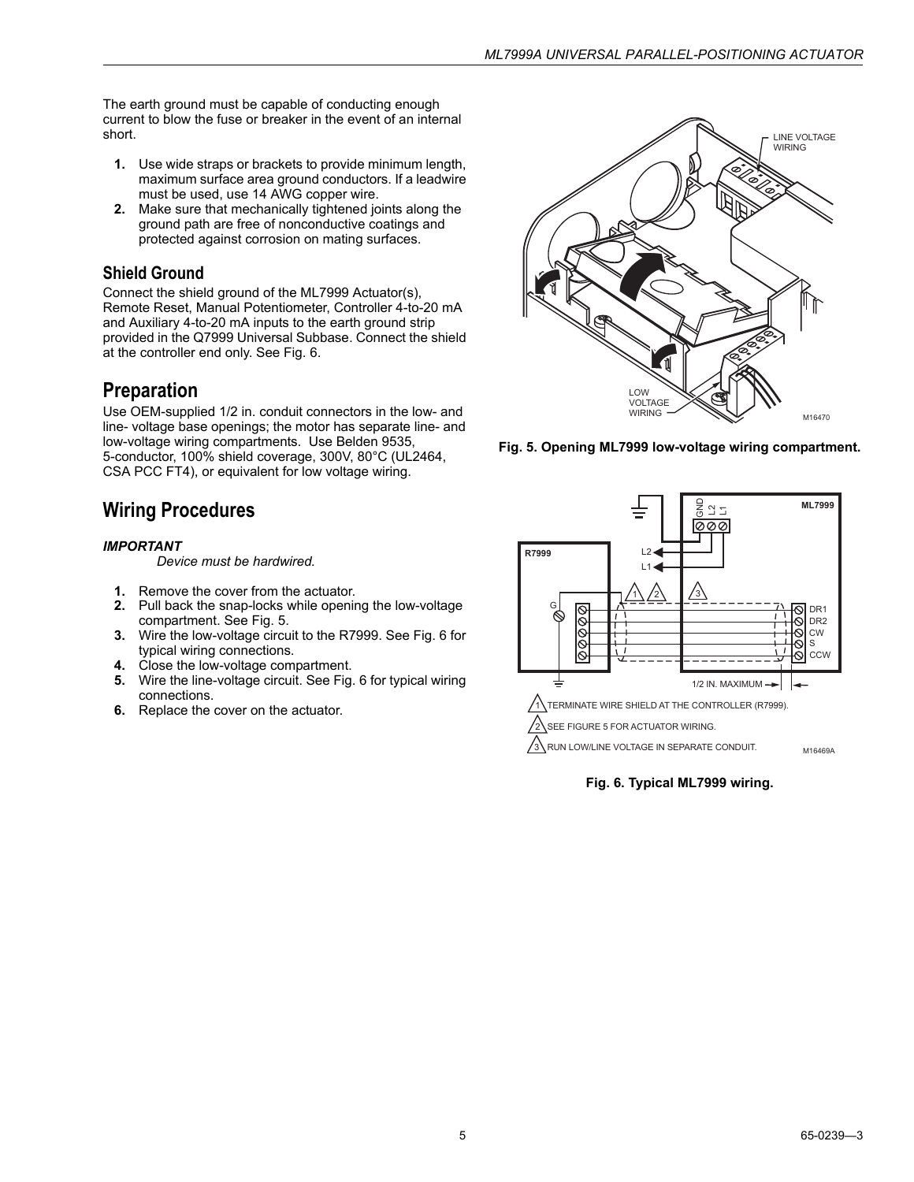The earth ground must be capable of conducting enough current to blow the fuse or breaker in the event of an internal short.

- **1.** Use wide straps or brackets to provide minimum length, maximum surface area ground conductors. If a leadwire must be used, use 14 AWG copper wire.
- **2.** Make sure that mechanically tightened joints along the ground path are free of nonconductive coatings and protected against corrosion on mating surfaces.

### **Shield Ground**

Connect the shield ground of the ML7999 Actuator(s), Remote Reset, Manual Potentiometer, Controller 4-to-20 mA and Auxiliary 4-to-20 mA inputs to the earth ground strip provided in the Q7999 Universal Subbase. Connect the shield at the controller end only. See Fig. 6.

### **Preparation**

Use OEM-supplied 1/2 in. conduit connectors in the low- and line- voltage base openings; the motor has separate line- and low-voltage wiring compartments. Use Belden 9535, 5-conductor, 100% shield coverage, 300V, 80°C (UL2464, CSA PCC FT4), or equivalent for low voltage wiring.

## **Wiring Procedures**

### *IMPORTANT*

*Device must be hardwired.*

- **1.** Remove the cover from the actuator.
- **2.** Pull back the snap-locks while opening the low-voltage compartment. See Fig. 5.
- **3.** Wire the low-voltage circuit to the R7999. See Fig. 6 for typical wiring connections.
- **4.** Close the low-voltage compartment.
- **5.** Wire the line-voltage circuit. See Fig. 6 for typical wiring connections.
- **6.** Replace the cover on the actuator.



**Fig. 5. Opening ML7999 low-voltage wiring compartment.**



**Fig. 6. Typical ML7999 wiring.**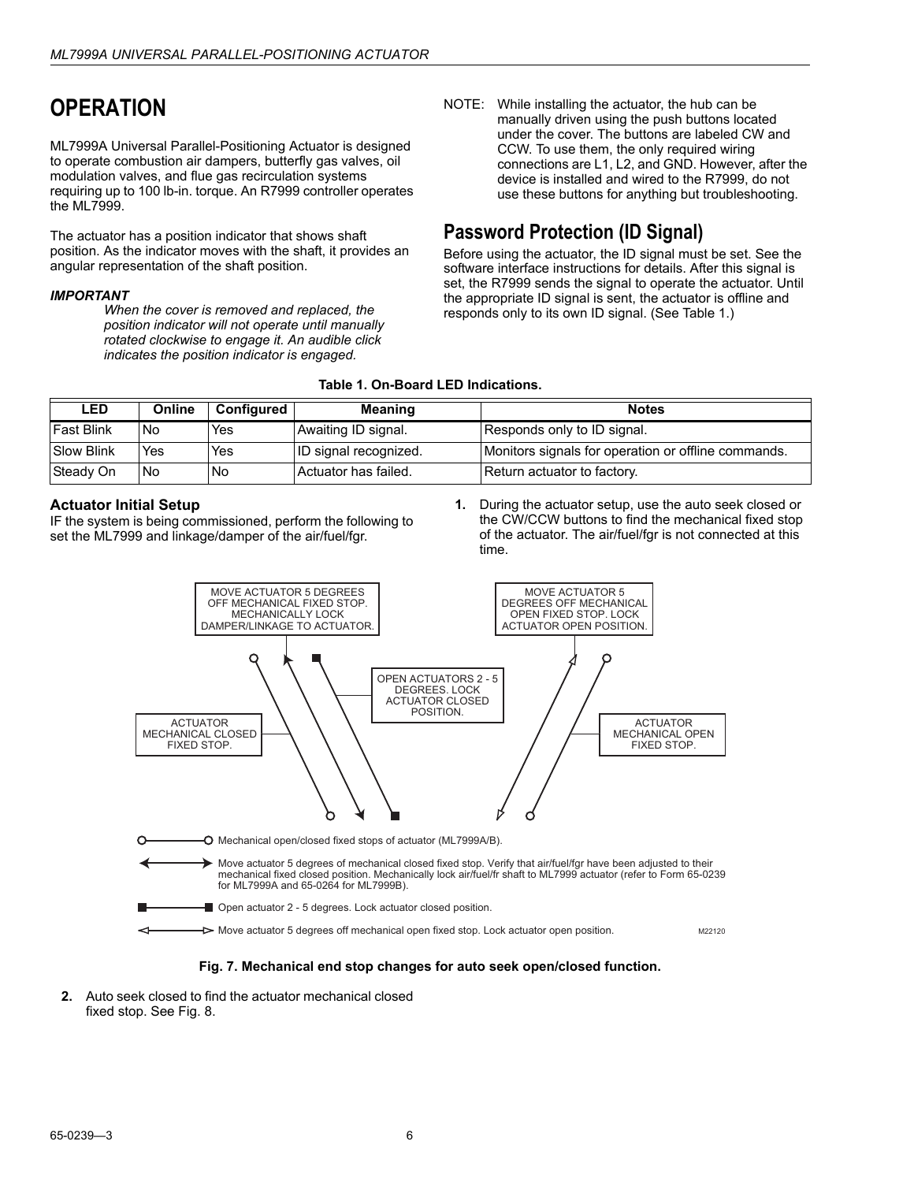## <span id="page-5-0"></span>**OPERATION**

ML7999A Universal Parallel-Positioning Actuator is designed to operate combustion air dampers, butterfly gas valves, oil modulation valves, and flue gas recirculation systems requiring up to 100 lb-in. torque. An R7999 controller operates the ML7999.

The actuator has a position indicator that shows shaft position. As the indicator moves with the shaft, it provides an angular representation of the shaft position.

#### *IMPORTANT*

*When the cover is removed and replaced, the position indicator will not operate until manually rotated clockwise to engage it. An audible click indicates the position indicator is engaged.*

NOTE: While installing the actuator, the hub can be manually driven using the push buttons located under the cover. The buttons are labeled CW and CCW. To use them, the only required wiring connections are L1, L2, and GND. However, after the device is installed and wired to the R7999, do not use these buttons for anything but troubleshooting.

### **Password Protection (ID Signal)**

Before using the actuator, the ID signal must be set. See the software interface instructions for details. After this signal is set, the R7999 sends the signal to operate the actuator. Until the appropriate ID signal is sent, the actuator is offline and responds only to its own ID signal. (See Table 1.)

### **Table 1. On-Board LED Indications.**

| <b>LED</b>        | Online    | Configured | <b>Meaning</b>        | <b>Notes</b>                                        |  |
|-------------------|-----------|------------|-----------------------|-----------------------------------------------------|--|
| <b>Fast Blink</b> | <b>No</b> | Yes        | Awaiting ID signal.   | Responds only to ID signal.                         |  |
| <b>Slow Blink</b> | Yes       | Yes        | ID signal recognized. | Monitors signals for operation or offline commands. |  |
| Steady On         | No.       | <b>No</b>  | Actuator has failed.  | Return actuator to factory.                         |  |

### **Actuator Initial Setup**

IF the system is being commissioned, perform the following to set the ML7999 and linkage/damper of the air/fuel/fgr.

**1.** During the actuator setup, use the auto seek closed or the CW/CCW buttons to find the mechanical fixed stop of the actuator. The air/fuel/fgr is not connected at this time.



#### **Fig. 7. Mechanical end stop changes for auto seek open/closed function.**

**2.** Auto seek closed to find the actuator mechanical closed fixed stop. See Fig. 8.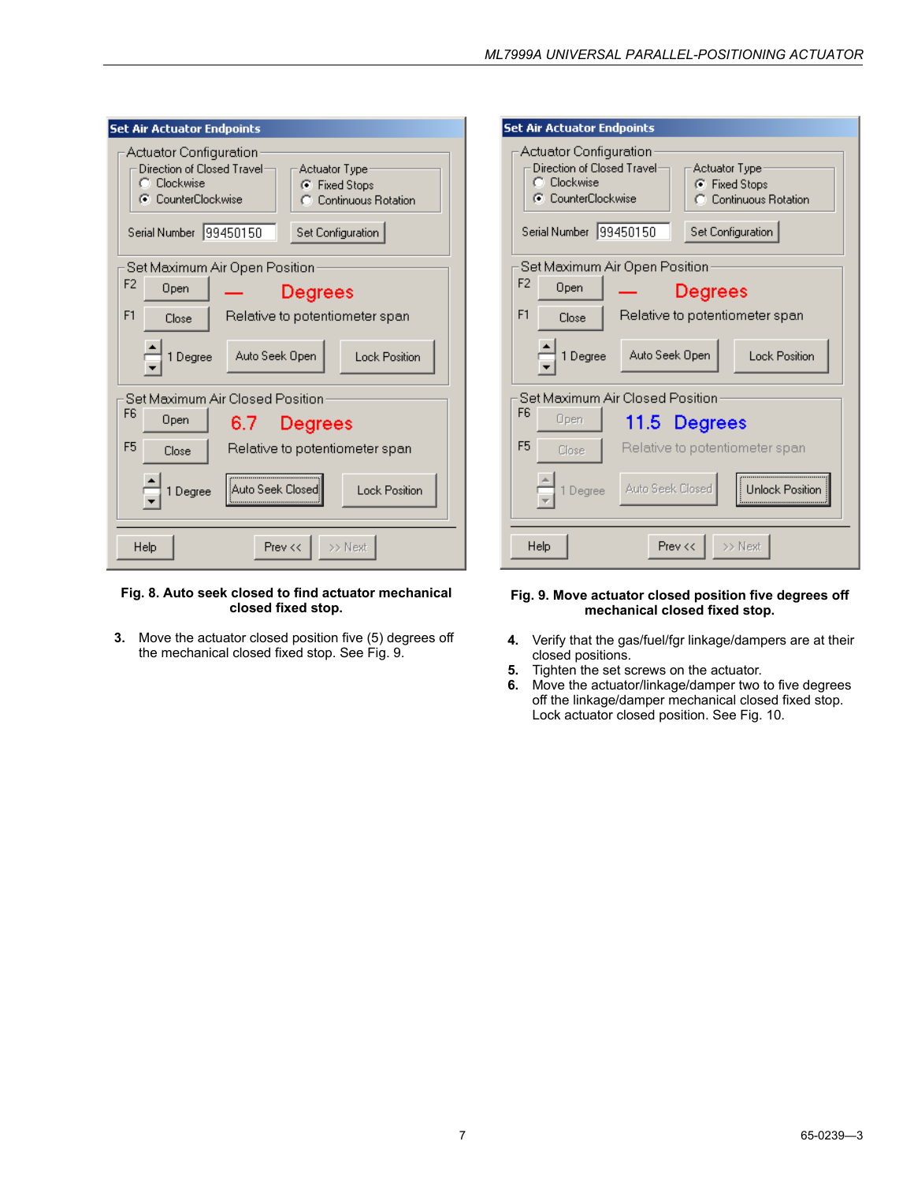| <b>Set Air Actuator Endpoints</b>                                                                                                                                                                      |  |  |
|--------------------------------------------------------------------------------------------------------------------------------------------------------------------------------------------------------|--|--|
| Actuator Configuration<br>Direction of Closed Travel:<br>Actuator Type<br>C Clockwise<br>C Fixed Stops<br>C CounterClockwise<br>C Continuous Rotation<br>Serial Number   99450150<br>Set Configuration |  |  |
| Set Maximum Air Open Position                                                                                                                                                                          |  |  |
| F <sub>2</sub><br>Open<br>Degrees                                                                                                                                                                      |  |  |
| F1<br>Relative to potentiometer span<br>Close                                                                                                                                                          |  |  |
| Auto Seek Open<br>1 Degree<br><b>Lock Position</b>                                                                                                                                                     |  |  |
| Set Maximum Air Closed Position                                                                                                                                                                        |  |  |
| F <sub>6</sub><br>Open<br>6.7<br>Degrees                                                                                                                                                               |  |  |
| F <sub>5</sub><br>Relative to potentiometer span<br>Close                                                                                                                                              |  |  |
| Auto Seek Closed<br><b>Lock Position</b><br>1 Degree                                                                                                                                                   |  |  |
| Prev <<<br>Help<br>>> Next                                                                                                                                                                             |  |  |

### **Fig. 8. Auto seek closed to find actuator mechanical closed fixed stop.**

**3.** Move the actuator closed position five (5) degrees off the mechanical closed fixed stop. See Fig. 9.

| <b>Set Air Actuator Endpoints</b><br>Actuator Configuration<br>Direction of Closed Travel:<br>Actuator Type<br>C Clockwise<br>C Fixed Stops<br>C CounterClockwise<br>C Continuous Rotation<br>Serial Number   99450150<br>Set Configuration |  |  |  |  |
|---------------------------------------------------------------------------------------------------------------------------------------------------------------------------------------------------------------------------------------------|--|--|--|--|
| Set Maximum Air Open Position<br>F <sub>2</sub><br>Open<br>Degrees                                                                                                                                                                          |  |  |  |  |
| F <sub>1</sub><br>Relative to potentiometer span<br>Close                                                                                                                                                                                   |  |  |  |  |
| Auto Seek Open<br>Degree<br><b>Lock Position</b>                                                                                                                                                                                            |  |  |  |  |
| Set Maximum Air Closed Position<br>F6                                                                                                                                                                                                       |  |  |  |  |
| Open<br>11.5 Degrees                                                                                                                                                                                                                        |  |  |  |  |
| F <sub>5</sub><br>Relative to potentiometer span<br>Close                                                                                                                                                                                   |  |  |  |  |
| Auto Seek Closed<br>Unlock Position<br>Degree                                                                                                                                                                                               |  |  |  |  |
| Help<br>Prev <<<br>>> Next                                                                                                                                                                                                                  |  |  |  |  |

### **Fig. 9. Move actuator closed position five degrees off mechanical closed fixed stop.**

- **4.** Verify that the gas/fuel/fgr linkage/dampers are at their closed positions.
- **5.** Tighten the set screws on the actuator.
- **6.** Move the actuator/linkage/damper two to five degrees off the linkage/damper mechanical closed fixed stop. Lock actuator closed position. See Fig. 10.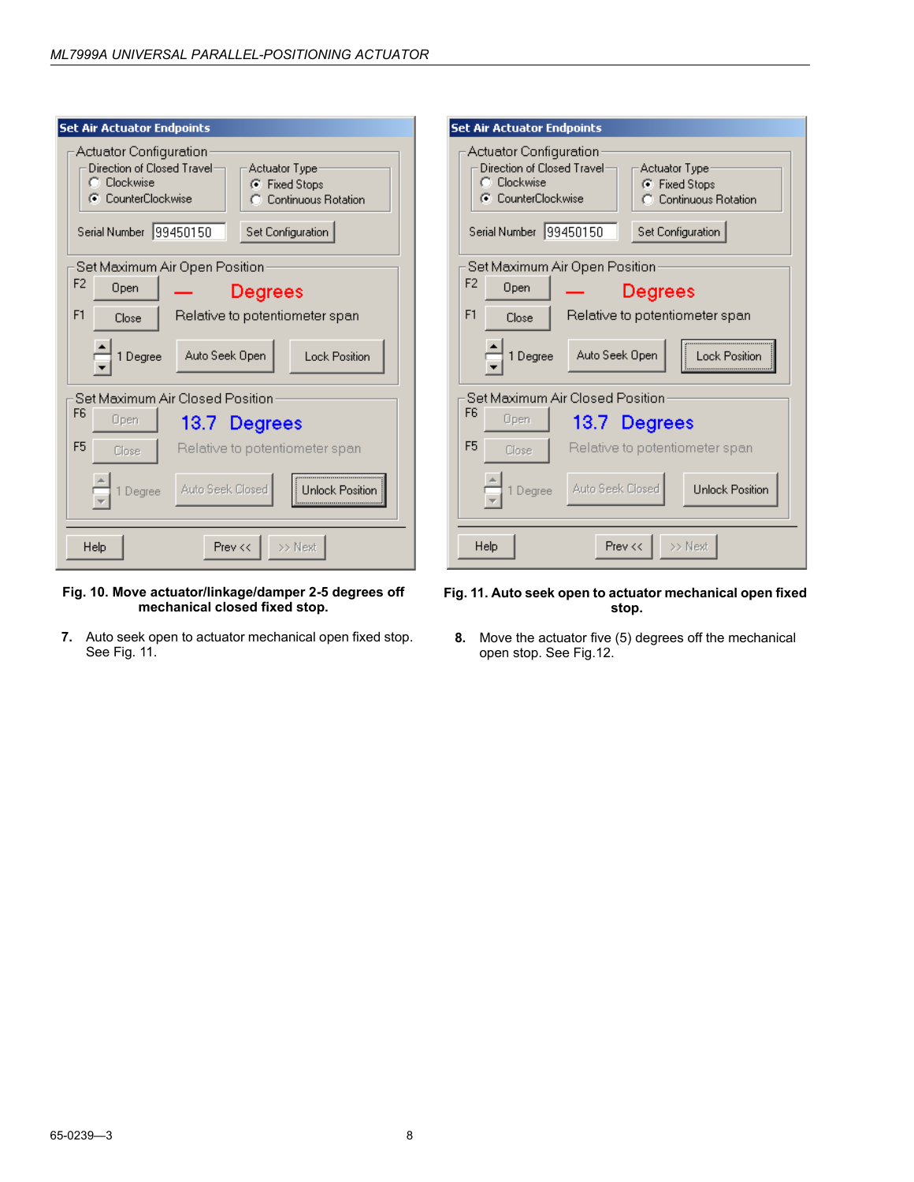| <b>Set Air Actuator Endpoints</b>                                                                                                                                                                                 | <b>Set Air Actuator En</b>                                                                 |
|-------------------------------------------------------------------------------------------------------------------------------------------------------------------------------------------------------------------|--------------------------------------------------------------------------------------------|
| <b>Actuator Configuration</b><br>Direction of Closed Travel:<br>Actuator Type:<br>C Clockwise<br>C Fixed Stops<br>C CounterClockwise<br><b>Continuous Rotation</b><br>Serial Number 99450150<br>Set Configuration | Actuator Config<br>Direction of Clos<br>C Clockwise<br>C CounterClock<br>Serial Number  99 |
| Set Maximum Air Open Position<br>F <sub>2</sub><br>Open<br><b>Degrees</b><br>F <sub>1</sub><br>Relative to potentiometer span<br>Close<br>Auto Seek Open<br><b>Lock Position</b><br>1 Degree                      | Set Maximum A<br>F <sub>2</sub><br>Open<br>F <sub>1</sub><br>Close<br>1 Degree             |
| Set Maximum Air Closed Position<br>F <sub>6</sub><br>Open<br>13.7 Degrees<br>F <sub>5</sub><br>Relative to potentiometer span<br>Close<br>Auto Seek Closed<br>Unlock Position<br>Degree                           | Set Maximum A<br>F6<br>Open<br>F <sub>5</sub><br>Close<br>Degree                           |
| >> Next<br>Help<br>Prev <<                                                                                                                                                                                        | Help                                                                                       |

### **Fig. 10. Move actuator/linkage/damper 2-5 degrees off mechanical closed fixed stop.**

**7.** Auto seek open to actuator mechanical open fixed stop. See Fig. 11.

### dpoints uration ed Travel<sup>.</sup> Actuator Type-C Fixed Stops C Continuous Rotation wise. 3450150 Set Configuration Air Open Position<sup>.</sup> **Degrees** Relative to potentiometer span Auto Seek Open Lock Position ir Closed Position-13.7 Degrees Relative to potentiometer span-Auto Seek Closed Unlock Position  $\gg$  Next Prev <<

### **Fig. 11. Auto seek open to actuator mechanical open fixed stop.**

**8.** Move the actuator five (5) degrees off the mechanical open stop. See Fig.12.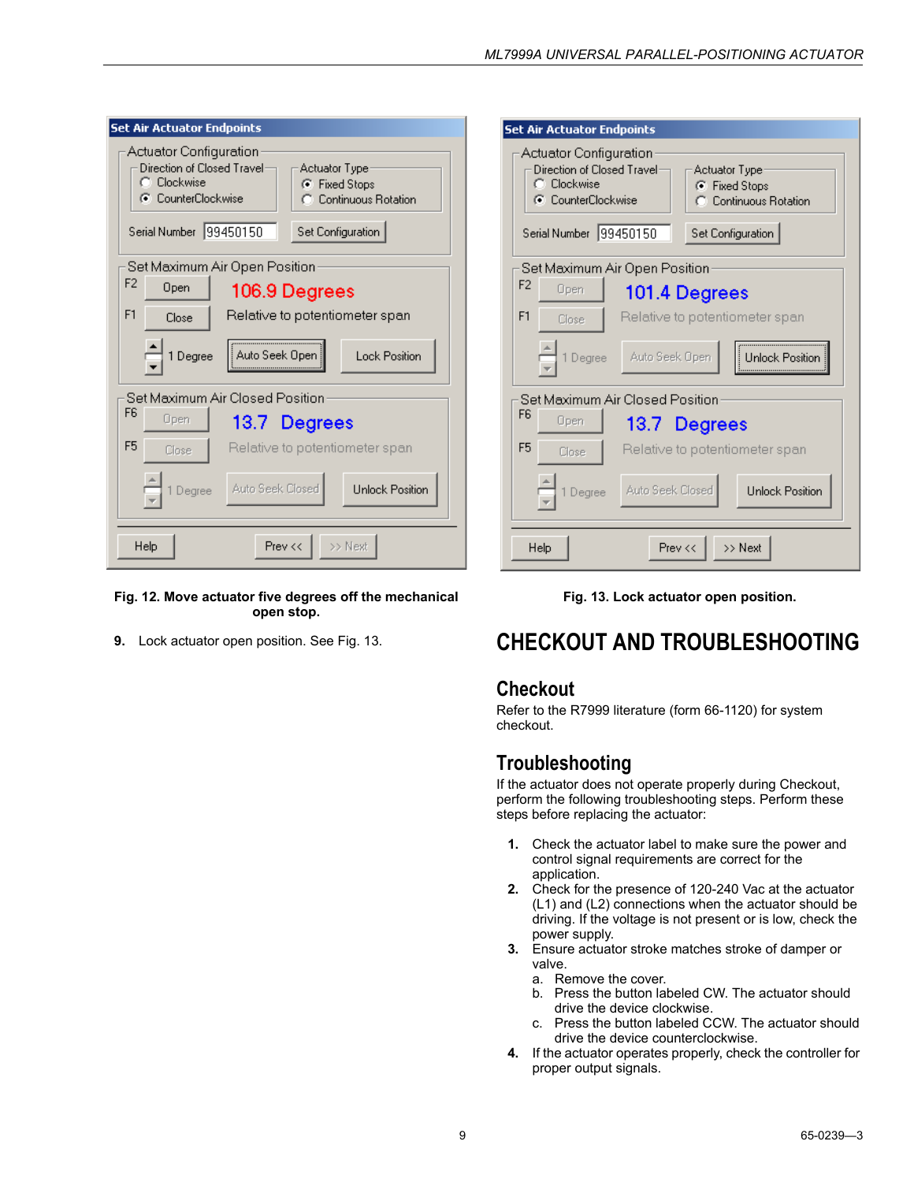| <b>Set Air Actuator Endpoints</b>                                                                                                                                                                             |                                |               |                                |
|---------------------------------------------------------------------------------------------------------------------------------------------------------------------------------------------------------------|--------------------------------|---------------|--------------------------------|
| <b>Actuator Configuration</b><br>Direction of Closed Travel:<br>Actuator Type<br>C Clockwise<br>C Fixed Stops<br>C CounterClockwise<br>C Continuous Rotation<br>Serial Number   99450150<br>Set Configuration |                                |               |                                |
| Set Maximum Air Open Position                                                                                                                                                                                 |                                |               |                                |
| F <sub>2</sub><br>Open                                                                                                                                                                                        |                                | 106.9 Degrees |                                |
| F1<br>Close                                                                                                                                                                                                   | Relative to potentiometer span |               |                                |
| 1 Degree                                                                                                                                                                                                      | Auto Seek Open                 |               | <b>Lock Position</b>           |
| Set Maximum Air Closed Position                                                                                                                                                                               |                                |               |                                |
| F6<br>Open                                                                                                                                                                                                    |                                | 13.7 Degrees  |                                |
| F <sub>5</sub><br>Close                                                                                                                                                                                       |                                |               | Relative to potentiometer span |
| Degree                                                                                                                                                                                                        | Auto Seek Closed               |               | <b>Unlock Position</b>         |
| Help                                                                                                                                                                                                          |                                | Prev <<       | >> Next                        |

### **Fig. 12. Move actuator five degrees off the mechanical open stop.**

**9.** Lock actuator open position. See Fig. 13.

| <b>Set Air Actuator Endpoints</b>                                                                                                                                                                     |  |  |  |  |
|-------------------------------------------------------------------------------------------------------------------------------------------------------------------------------------------------------|--|--|--|--|
| Actuator Configuration<br>Direction of Closed Travel:<br>Actuator Type<br>C Clockwise<br>C Fixed Stops<br>C CounterClockwise<br>C Continuous Rotation<br>Serial Number  99450150<br>Set Configuration |  |  |  |  |
| Set Maximum Air Open Position                                                                                                                                                                         |  |  |  |  |
| F <sub>2</sub><br>Open<br>101.4 Degrees                                                                                                                                                               |  |  |  |  |
| F1<br>Relative to potentiometer span<br>Close                                                                                                                                                         |  |  |  |  |
| Auto Seek Open<br>1 Degree<br><b>Unlock Position</b>                                                                                                                                                  |  |  |  |  |
| Set Maximum Air Closed Position<br><b>F<sub>6</sub></b><br>Open<br>13.7 Degrees                                                                                                                       |  |  |  |  |
| F <sub>5</sub><br>Relative to potentiometer span<br>Close                                                                                                                                             |  |  |  |  |
| Auto Seek Closed<br><b>Unlock Position</b><br>Degree                                                                                                                                                  |  |  |  |  |
| >> Next<br>Prev <<<br>Help                                                                                                                                                                            |  |  |  |  |



## <span id="page-8-0"></span>**CHECKOUT AND TROUBLESHOOTING**

### **Checkout**

Refer to the R7999 literature (form 66-1120) for system checkout.

### **Troubleshooting**

If the actuator does not operate properly during Checkout, perform the following troubleshooting steps. Perform these steps before replacing the actuator:

- **1.** Check the actuator label to make sure the power and control signal requirements are correct for the application.
- **2.** Check for the presence of 120-240 Vac at the actuator (L1) and (L2) connections when the actuator should be driving. If the voltage is not present or is low, check the power supply.
- **3.** Ensure actuator stroke matches stroke of damper or valve.
	- a. Remove the cover.
	- b. Press the button labeled CW. The actuator should drive the device clockwise.
	- c. Press the button labeled CCW. The actuator should drive the device counterclockwise.
- **4.** If the actuator operates properly, check the controller for proper output signals.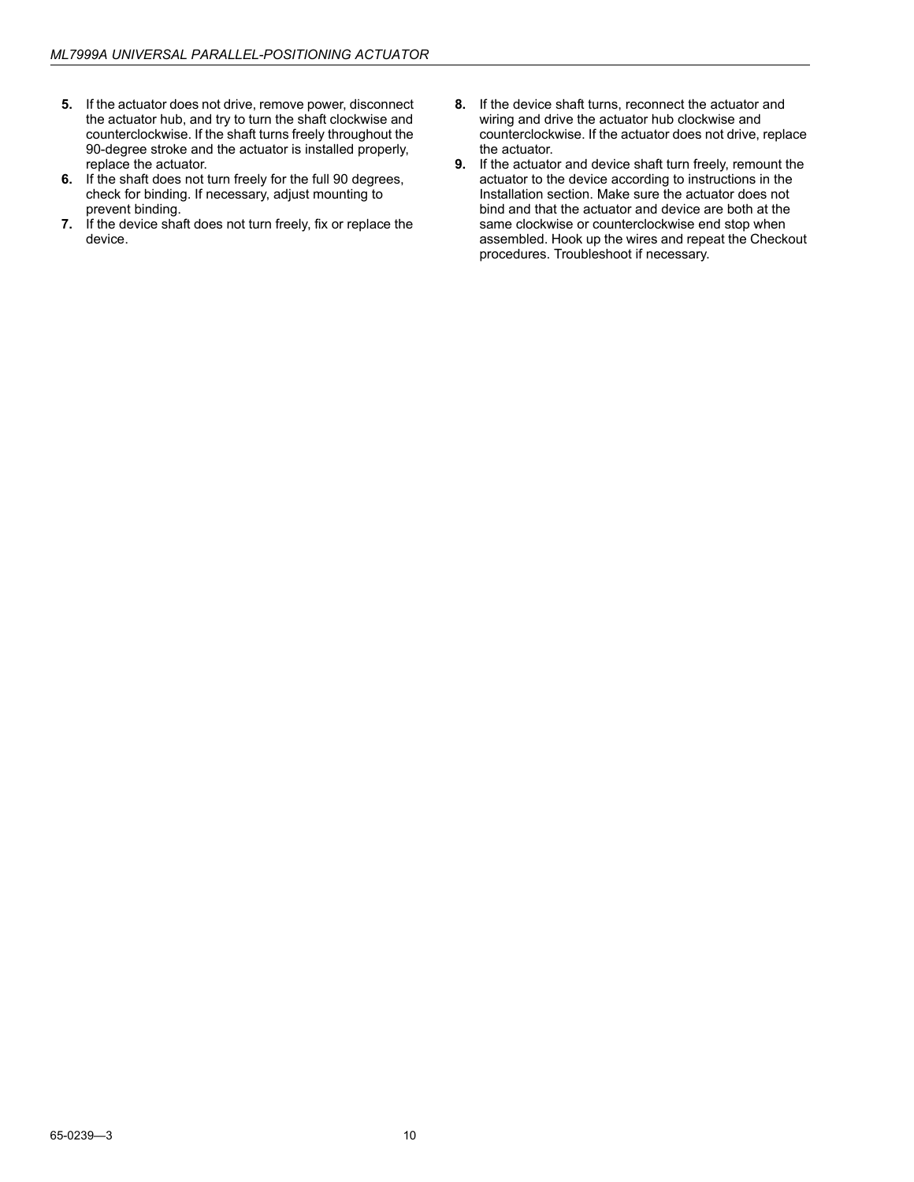- **5.** If the actuator does not drive, remove power, disconnect the actuator hub, and try to turn the shaft clockwise and counterclockwise. If the shaft turns freely throughout the 90-degree stroke and the actuator is installed properly, replace the actuator.
- **6.** If the shaft does not turn freely for the full 90 degrees, check for binding. If necessary, adjust mounting to prevent binding.
- **7.** If the device shaft does not turn freely, fix or replace the device.
- **8.** If the device shaft turns, reconnect the actuator and wiring and drive the actuator hub clockwise and counterclockwise. If the actuator does not drive, replace the actuator.
- **9.** If the actuator and device shaft turn freely, remount the actuator to the device according to instructions in the Installation section. Make sure the actuator does not bind and that the actuator and device are both at the same clockwise or counterclockwise end stop when assembled. Hook up the wires and repeat the Checkout procedures. Troubleshoot if necessary.